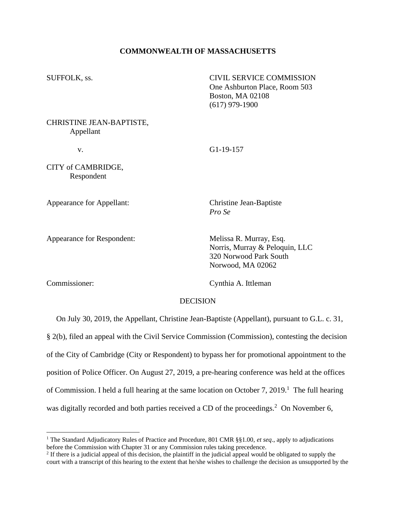## **COMMONWEALTH OF MASSACHUSETTS**

SUFFOLK, ss. CIVIL SERVICE COMMISSION One Ashburton Place, Room 503 Boston, MA 02108 (617) 979-1900

CHRISTINE JEAN-BAPTISTE, Appellant

v. G1-19-157

CITY of CAMBRIDGE, Respondent

Appearance for Appellant: Christine Jean-Baptiste

*Pro Se*

Appearance for Respondent: Melissa R. Murray, Esq.

Norris, Murray & Peloquin, LLC 320 Norwood Park South Norwood, MA 02062

Commissioner: Cynthia A. Ittleman

### DECISION

On July 30, 2019, the Appellant, Christine Jean-Baptiste (Appellant), pursuant to G.L. c. 31,

§ 2(b), filed an appeal with the Civil Service Commission (Commission), contesting the decision of the City of Cambridge (City or Respondent) to bypass her for promotional appointment to the position of Police Officer. On August 27, 2019, a pre-hearing conference was held at the offices of Commission. I held a full hearing at the same location on October 7, 2019.<sup>1</sup> The full hearing was digitally recorded and both parties received a CD of the proceedings.<sup>2</sup> On November 6,

<sup>1</sup> The Standard Adjudicatory Rules of Practice and Procedure, 801 CMR §§1.00, *et seq*., apply to adjudications before the Commission with Chapter 31 or any Commission rules taking precedence.

<sup>&</sup>lt;sup>2</sup> If there is a judicial appeal of this decision, the plaintiff in the judicial appeal would be obligated to supply the court with a transcript of this hearing to the extent that he/she wishes to challenge the decision as unsupported by the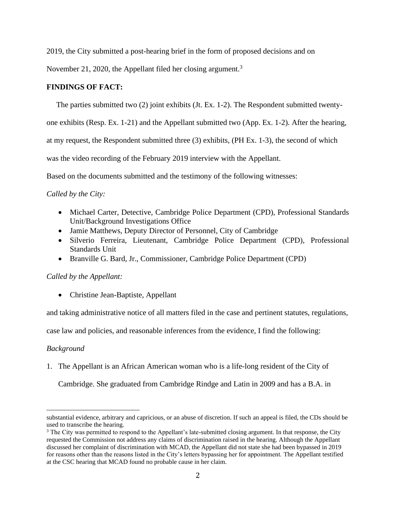2019, the City submitted a post-hearing brief in the form of proposed decisions and on

November 21, 2020, the Appellant filed her closing argument.<sup>3</sup>

# **FINDINGS OF FACT:**

The parties submitted two (2) joint exhibits (Jt. Ex. 1-2). The Respondent submitted twenty-

one exhibits (Resp. Ex. 1-21) and the Appellant submitted two (App. Ex. 1-2). After the hearing,

at my request, the Respondent submitted three (3) exhibits, (PH Ex. 1-3), the second of which

was the video recording of the February 2019 interview with the Appellant.

Based on the documents submitted and the testimony of the following witnesses:

# *Called by the City:*

- Michael Carter, Detective, Cambridge Police Department (CPD), Professional Standards Unit/Background Investigations Office
- Jamie Matthews, Deputy Director of Personnel, City of Cambridge
- Silverio Ferreira, Lieutenant, Cambridge Police Department (CPD), Professional Standards Unit
- Branville G. Bard, Jr., Commissioner, Cambridge Police Department (CPD)

# *Called by the Appellant:*

• Christine Jean-Baptiste, Appellant

and taking administrative notice of all matters filed in the case and pertinent statutes, regulations,

case law and policies, and reasonable inferences from the evidence, I find the following:

## *Background*

1. The Appellant is an African American woman who is a life-long resident of the City of

Cambridge. She graduated from Cambridge Rindge and Latin in 2009 and has a B.A. in

substantial evidence, arbitrary and capricious, or an abuse of discretion. If such an appeal is filed, the CDs should be used to transcribe the hearing.

<sup>&</sup>lt;sup>3</sup> The City was permitted to respond to the Appellant's late-submitted closing argument. In that response, the City requested the Commission not address any claims of discrimination raised in the hearing. Although the Appellant discussed her complaint of discrimination with MCAD, the Appellant did not state she had been bypassed in 2019 for reasons other than the reasons listed in the City's letters bypassing her for appointment. The Appellant testified at the CSC hearing that MCAD found no probable cause in her claim.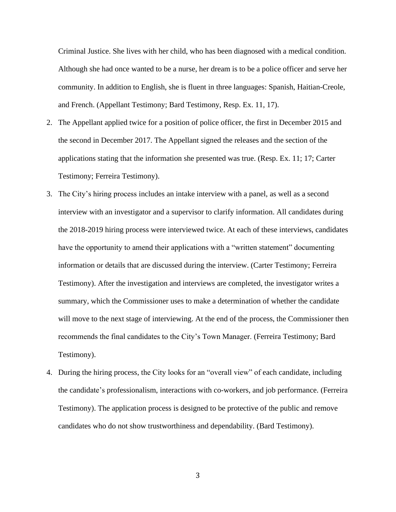Criminal Justice. She lives with her child, who has been diagnosed with a medical condition. Although she had once wanted to be a nurse, her dream is to be a police officer and serve her community. In addition to English, she is fluent in three languages: Spanish, Haitian-Creole, and French. (Appellant Testimony; Bard Testimony, Resp. Ex. 11, 17).

- 2. The Appellant applied twice for a position of police officer, the first in December 2015 and the second in December 2017. The Appellant signed the releases and the section of the applications stating that the information she presented was true. (Resp. Ex. 11; 17; Carter Testimony; Ferreira Testimony).
- 3. The City's hiring process includes an intake interview with a panel, as well as a second interview with an investigator and a supervisor to clarify information. All candidates during the 2018-2019 hiring process were interviewed twice. At each of these interviews, candidates have the opportunity to amend their applications with a "written statement" documenting information or details that are discussed during the interview. (Carter Testimony; Ferreira Testimony). After the investigation and interviews are completed, the investigator writes a summary, which the Commissioner uses to make a determination of whether the candidate will move to the next stage of interviewing. At the end of the process, the Commissioner then recommends the final candidates to the City's Town Manager. (Ferreira Testimony; Bard Testimony).
- 4. During the hiring process, the City looks for an "overall view" of each candidate, including the candidate's professionalism, interactions with co-workers, and job performance. (Ferreira Testimony). The application process is designed to be protective of the public and remove candidates who do not show trustworthiness and dependability. (Bard Testimony).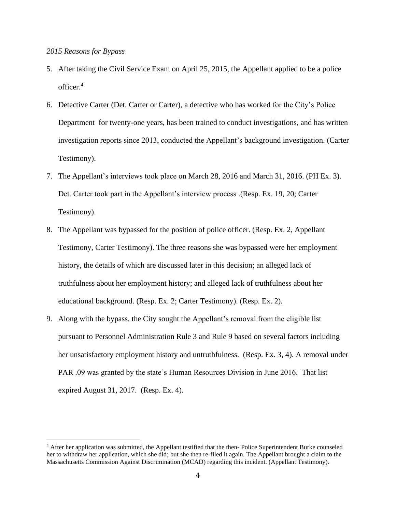## *2015 Reasons for Bypass*

- 5. After taking the Civil Service Exam on April 25, 2015, the Appellant applied to be a police officer. 4
- 6. Detective Carter (Det. Carter or Carter), a detective who has worked for the City's Police Department for twenty-one years, has been trained to conduct investigations, and has written investigation reports since 2013, conducted the Appellant's background investigation. (Carter Testimony).
- 7. The Appellant's interviews took place on March 28, 2016 and March 31, 2016. (PH Ex. 3). Det. Carter took part in the Appellant's interview process .(Resp. Ex. 19, 20; Carter Testimony).
- 8. The Appellant was bypassed for the position of police officer. (Resp. Ex. 2, Appellant Testimony, Carter Testimony). The three reasons she was bypassed were her employment history, the details of which are discussed later in this decision; an alleged lack of truthfulness about her employment history; and alleged lack of truthfulness about her educational background. (Resp. Ex. 2; Carter Testimony). (Resp. Ex. 2).
- 9. Along with the bypass, the City sought the Appellant's removal from the eligible list pursuant to Personnel Administration Rule 3 and Rule 9 based on several factors including her unsatisfactory employment history and untruthfulness. (Resp. Ex. 3, 4). A removal under PAR .09 was granted by the state's Human Resources Division in June 2016. That list expired August 31, 2017. (Resp. Ex. 4).

<sup>4</sup> After her application was submitted, the Appellant testified that the then- Police Superintendent Burke counseled her to withdraw her application, which she did; but she then re-filed it again. The Appellant brought a claim to the Massachusetts Commission Against Discrimination (MCAD) regarding this incident. (Appellant Testimony).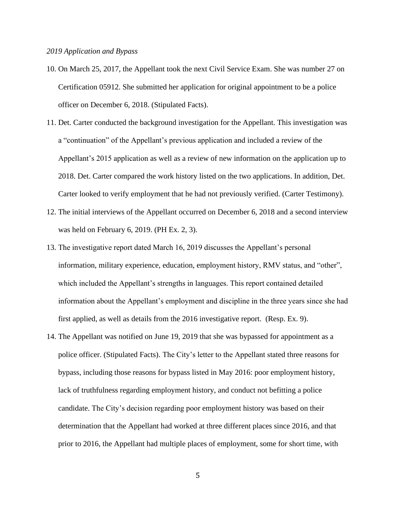#### *2019 Application and Bypass*

- 10. On March 25, 2017, the Appellant took the next Civil Service Exam. She was number 27 on Certification 05912. She submitted her application for original appointment to be a police officer on December 6, 2018. (Stipulated Facts).
- 11. Det. Carter conducted the background investigation for the Appellant. This investigation was a "continuation" of the Appellant's previous application and included a review of the Appellant's 2015 application as well as a review of new information on the application up to 2018. Det. Carter compared the work history listed on the two applications. In addition, Det. Carter looked to verify employment that he had not previously verified. (Carter Testimony).
- 12. The initial interviews of the Appellant occurred on December 6, 2018 and a second interview was held on February 6, 2019. (PH Ex. 2, 3).
- 13. The investigative report dated March 16, 2019 discusses the Appellant's personal information, military experience, education, employment history, RMV status, and "other", which included the Appellant's strengths in languages. This report contained detailed information about the Appellant's employment and discipline in the three years since she had first applied, as well as details from the 2016 investigative report. (Resp. Ex. 9).
- 14. The Appellant was notified on June 19, 2019 that she was bypassed for appointment as a police officer. (Stipulated Facts). The City's letter to the Appellant stated three reasons for bypass, including those reasons for bypass listed in May 2016: poor employment history, lack of truthfulness regarding employment history, and conduct not befitting a police candidate. The City's decision regarding poor employment history was based on their determination that the Appellant had worked at three different places since 2016, and that prior to 2016, the Appellant had multiple places of employment, some for short time, with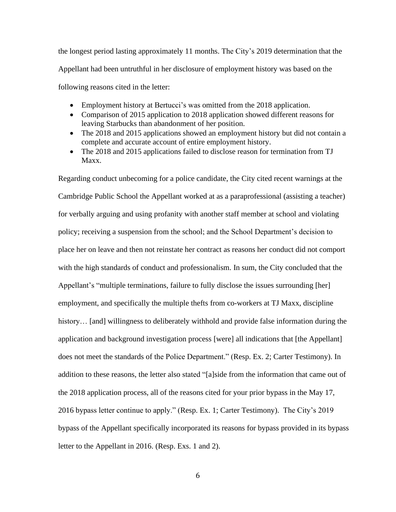the longest period lasting approximately 11 months. The City's 2019 determination that the Appellant had been untruthful in her disclosure of employment history was based on the following reasons cited in the letter:

- Employment history at Bertucci's was omitted from the 2018 application.
- Comparison of 2015 application to 2018 application showed different reasons for leaving Starbucks than abandonment of her position.
- The 2018 and 2015 applications showed an employment history but did not contain a complete and accurate account of entire employment history.
- The 2018 and 2015 applications failed to disclose reason for termination from TJ Maxx.

Regarding conduct unbecoming for a police candidate, the City cited recent warnings at the Cambridge Public School the Appellant worked at as a paraprofessional (assisting a teacher) for verbally arguing and using profanity with another staff member at school and violating policy; receiving a suspension from the school; and the School Department's decision to place her on leave and then not reinstate her contract as reasons her conduct did not comport with the high standards of conduct and professionalism. In sum, the City concluded that the Appellant's "multiple terminations, failure to fully disclose the issues surrounding [her] employment, and specifically the multiple thefts from co-workers at TJ Maxx, discipline history... [and] willingness to deliberately withhold and provide false information during the application and background investigation process [were] all indications that [the Appellant] does not meet the standards of the Police Department." (Resp. Ex. 2; Carter Testimony). In addition to these reasons, the letter also stated "[a]side from the information that came out of the 2018 application process, all of the reasons cited for your prior bypass in the May 17, 2016 bypass letter continue to apply." (Resp. Ex. 1; Carter Testimony). The City's 2019 bypass of the Appellant specifically incorporated its reasons for bypass provided in its bypass letter to the Appellant in 2016. (Resp. Exs. 1 and 2).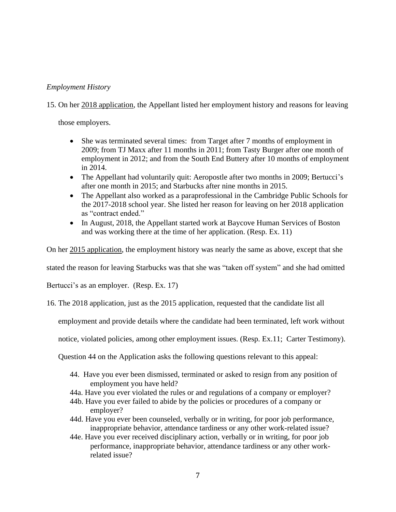# *Employment History*

15. On her 2018 application, the Appellant listed her employment history and reasons for leaving

those employers.

- She was terminated several times: from Target after 7 months of employment in 2009; from TJ Maxx after 11 months in 2011; from Tasty Burger after one month of employment in 2012; and from the South End Buttery after 10 months of employment in 2014.
- The Appellant had voluntarily quit: Aeropostle after two months in 2009; Bertucci's after one month in 2015; and Starbucks after nine months in 2015.
- The Appellant also worked as a paraprofessional in the Cambridge Public Schools for the 2017-2018 school year. She listed her reason for leaving on her 2018 application as "contract ended."
- In August, 2018, the Appellant started work at Baycove Human Services of Boston and was working there at the time of her application. (Resp. Ex. 11)

On her 2015 application, the employment history was nearly the same as above, except that she

stated the reason for leaving Starbucks was that she was "taken off system" and she had omitted

Bertucci's as an employer. (Resp. Ex. 17)

16. The 2018 application, just as the 2015 application, requested that the candidate list all

employment and provide details where the candidate had been terminated, left work without

notice, violated policies, among other employment issues. (Resp. Ex.11; Carter Testimony).

Question 44 on the Application asks the following questions relevant to this appeal:

- 44. Have you ever been dismissed, terminated or asked to resign from any position of employment you have held?
- 44a. Have you ever violated the rules or and regulations of a company or employer?
- 44b. Have you ever failed to abide by the policies or procedures of a company or employer?
- 44d. Have you ever been counseled, verbally or in writing, for poor job performance, inappropriate behavior, attendance tardiness or any other work-related issue?
- 44e. Have you ever received disciplinary action, verbally or in writing, for poor job performance, inappropriate behavior, attendance tardiness or any other workrelated issue?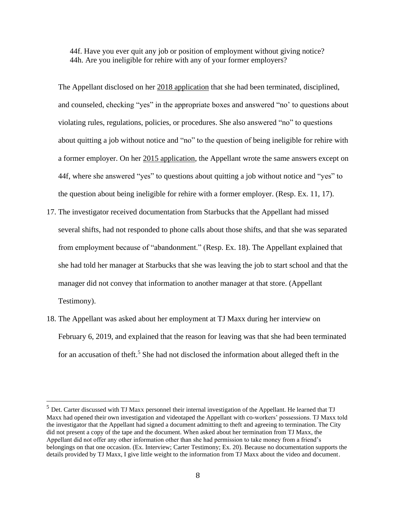44f. Have you ever quit any job or position of employment without giving notice? 44h. Are you ineligible for rehire with any of your former employers?

The Appellant disclosed on her 2018 application that she had been terminated, disciplined, and counseled, checking "yes" in the appropriate boxes and answered "no' to questions about violating rules, regulations, policies, or procedures. She also answered "no" to questions about quitting a job without notice and "no" to the question of being ineligible for rehire with a former employer. On her 2015 application, the Appellant wrote the same answers except on 44f, where she answered "yes" to questions about quitting a job without notice and "yes" to the question about being ineligible for rehire with a former employer. (Resp. Ex. 11, 17).

- 17. The investigator received documentation from Starbucks that the Appellant had missed several shifts, had not responded to phone calls about those shifts, and that she was separated from employment because of "abandonment." (Resp. Ex. 18). The Appellant explained that she had told her manager at Starbucks that she was leaving the job to start school and that the manager did not convey that information to another manager at that store. (Appellant Testimony).
- 18. The Appellant was asked about her employment at TJ Maxx during her interview on February 6, 2019, and explained that the reason for leaving was that she had been terminated for an accusation of theft.<sup>5</sup> She had not disclosed the information about alleged theft in the

<sup>&</sup>lt;sup>5</sup> Det. Carter discussed with TJ Maxx personnel their internal investigation of the Appellant. He learned that TJ Maxx had opened their own investigation and videotaped the Appellant with co-workers' possessions. TJ Maxx told the investigator that the Appellant had signed a document admitting to theft and agreeing to termination. The City did not present a copy of the tape and the document. When asked about her termination from TJ Maxx, the Appellant did not offer any other information other than she had permission to take money from a friend's belongings on that one occasion. (Ex. Interview; Carter Testimony; Ex. 20). Because no documentation supports the details provided by TJ Maxx, I give little weight to the information from TJ Maxx about the video and document.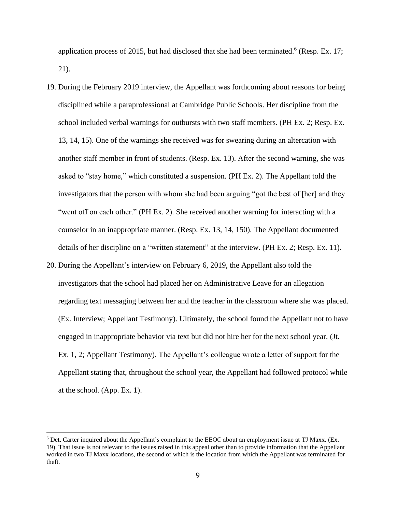application process of 2015, but had disclosed that she had been terminated. 6 (Resp. Ex. 17; 21).

- 19. During the February 2019 interview, the Appellant was forthcoming about reasons for being disciplined while a paraprofessional at Cambridge Public Schools. Her discipline from the school included verbal warnings for outbursts with two staff members. (PH Ex. 2; Resp. Ex. 13, 14, 15). One of the warnings she received was for swearing during an altercation with another staff member in front of students. (Resp. Ex. 13). After the second warning, she was asked to "stay home," which constituted a suspension. (PH Ex. 2). The Appellant told the investigators that the person with whom she had been arguing "got the best of [her] and they "went off on each other." (PH Ex. 2). She received another warning for interacting with a counselor in an inappropriate manner. (Resp. Ex. 13, 14, 150). The Appellant documented details of her discipline on a "written statement" at the interview. (PH Ex. 2; Resp. Ex. 11).
- 20. During the Appellant's interview on February 6, 2019, the Appellant also told the investigators that the school had placed her on Administrative Leave for an allegation regarding text messaging between her and the teacher in the classroom where she was placed. (Ex. Interview; Appellant Testimony). Ultimately, the school found the Appellant not to have engaged in inappropriate behavior via text but did not hire her for the next school year. (Jt. Ex. 1, 2; Appellant Testimony). The Appellant's colleague wrote a letter of support for the Appellant stating that, throughout the school year, the Appellant had followed protocol while at the school. (App. Ex. 1).

<sup>6</sup> Det. Carter inquired about the Appellant's complaint to the EEOC about an employment issue at TJ Maxx. (Ex. 19). That issue is not relevant to the issues raised in this appeal other than to provide information that the Appellant worked in two TJ Maxx locations, the second of which is the location from which the Appellant was terminated for theft.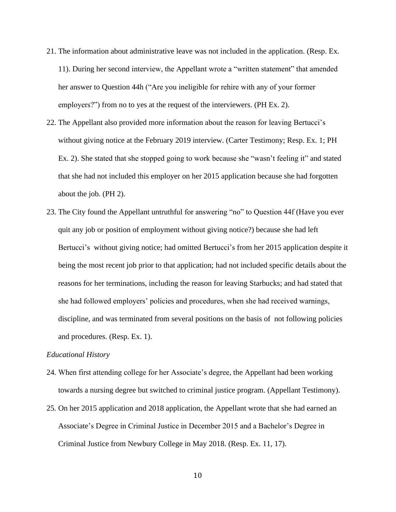- 21. The information about administrative leave was not included in the application. (Resp. Ex. 11). During her second interview, the Appellant wrote a "written statement" that amended her answer to Question 44h ("Are you ineligible for rehire with any of your former employers?") from no to yes at the request of the interviewers. (PH Ex. 2).
- 22. The Appellant also provided more information about the reason for leaving Bertucci's without giving notice at the February 2019 interview. (Carter Testimony; Resp. Ex. 1; PH Ex. 2). She stated that she stopped going to work because she "wasn't feeling it" and stated that she had not included this employer on her 2015 application because she had forgotten about the job. (PH 2).
- 23. The City found the Appellant untruthful for answering "no" to Question 44f (Have you ever quit any job or position of employment without giving notice?) because she had left Bertucci's without giving notice; had omitted Bertucci's from her 2015 application despite it being the most recent job prior to that application; had not included specific details about the reasons for her terminations, including the reason for leaving Starbucks; and had stated that she had followed employers' policies and procedures, when she had received warnings, discipline, and was terminated from several positions on the basis of not following policies and procedures. (Resp. Ex. 1).

#### *Educational History*

- 24. When first attending college for her Associate's degree, the Appellant had been working towards a nursing degree but switched to criminal justice program. (Appellant Testimony).
- 25. On her 2015 application and 2018 application, the Appellant wrote that she had earned an Associate's Degree in Criminal Justice in December 2015 and a Bachelor's Degree in Criminal Justice from Newbury College in May 2018. (Resp. Ex. 11, 17).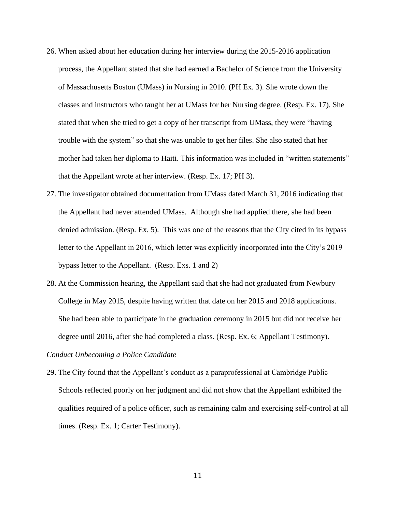- 26. When asked about her education during her interview during the 2015-2016 application process, the Appellant stated that she had earned a Bachelor of Science from the University of Massachusetts Boston (UMass) in Nursing in 2010. (PH Ex. 3). She wrote down the classes and instructors who taught her at UMass for her Nursing degree. (Resp. Ex. 17). She stated that when she tried to get a copy of her transcript from UMass, they were "having trouble with the system" so that she was unable to get her files. She also stated that her mother had taken her diploma to Haiti. This information was included in "written statements" that the Appellant wrote at her interview. (Resp. Ex. 17; PH 3).
- 27. The investigator obtained documentation from UMass dated March 31, 2016 indicating that the Appellant had never attended UMass. Although she had applied there, she had been denied admission. (Resp. Ex. 5). This was one of the reasons that the City cited in its bypass letter to the Appellant in 2016, which letter was explicitly incorporated into the City's 2019 bypass letter to the Appellant. (Resp. Exs. 1 and 2)
- 28. At the Commission hearing, the Appellant said that she had not graduated from Newbury College in May 2015, despite having written that date on her 2015 and 2018 applications. She had been able to participate in the graduation ceremony in 2015 but did not receive her degree until 2016, after she had completed a class. (Resp. Ex. 6; Appellant Testimony).

## *Conduct Unbecoming a Police Candidate*

29. The City found that the Appellant's conduct as a paraprofessional at Cambridge Public Schools reflected poorly on her judgment and did not show that the Appellant exhibited the qualities required of a police officer, such as remaining calm and exercising self-control at all times. (Resp. Ex. 1; Carter Testimony).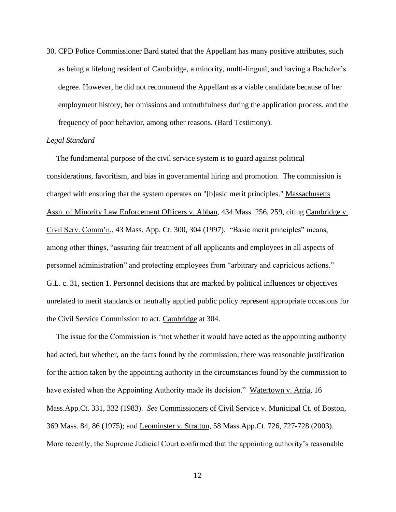30. CPD Police Commissioner Bard stated that the Appellant has many positive attributes, such as being a lifelong resident of Cambridge, a minority, multi-lingual, and having a Bachelor's degree. However, he did not recommend the Appellant as a viable candidate because of her employment history, her omissions and untruthfulness during the application process, and the frequency of poor behavior, among other reasons. (Bard Testimony).

#### *Legal Standard*

 The fundamental purpose of the civil service system is to guard against political considerations, favoritism, and bias in governmental hiring and promotion. The commission is charged with ensuring that the system operates on "[b]asic merit principles." Massachusetts Assn. of Minority Law Enforcement Officers v. Abban, 434 Mass. 256, 259, citing Cambridge v. Civil Serv. Comm'n., 43 Mass. App. Ct. 300, 304 (1997). "Basic merit principles" means, among other things, "assuring fair treatment of all applicants and employees in all aspects of personnel administration" and protecting employees from "arbitrary and capricious actions." G.L. c. 31, section 1. Personnel decisions that are marked by political influences or objectives unrelated to merit standards or neutrally applied public policy represent appropriate occasions for the Civil Service Commission to act. Cambridge at 304.

 The issue for the Commission is "not whether it would have acted as the appointing authority had acted, but whether, on the facts found by the commission, there was reasonable justification for the action taken by the appointing authority in the circumstances found by the commission to have existed when the Appointing Authority made its decision." Watertown v. Arria, 16 Mass.App.Ct. 331, 332 (1983). *See* Commissioners of Civil Service v. Municipal Ct. of Boston, 369 Mass. 84, 86 (1975); and Leominster v. Stratton, 58 Mass.App.Ct. 726, 727-728 (2003). More recently, the Supreme Judicial Court confirmed that the appointing authority's reasonable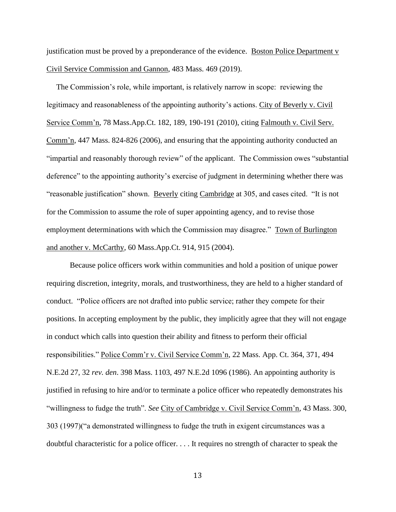justification must be proved by a preponderance of the evidence. Boston Police Department v Civil Service Commission and Gannon, 483 Mass. 469 (2019).

 The Commission's role, while important, is relatively narrow in scope: reviewing the legitimacy and reasonableness of the appointing authority's actions. City of Beverly v. Civil Service Comm'n, 78 Mass.App.Ct. 182, 189, 190-191 (2010), citing Falmouth v. Civil Serv. Comm'n, 447 Mass. 824-826 (2006), and ensuring that the appointing authority conducted an "impartial and reasonably thorough review" of the applicant. The Commission owes "substantial deference" to the appointing authority's exercise of judgment in determining whether there was "reasonable justification" shown. Beverly citing Cambridge at 305, and cases cited. "It is not for the Commission to assume the role of super appointing agency, and to revise those employment determinations with which the Commission may disagree." Town of Burlington and another v. McCarthy, 60 Mass.App.Ct. 914, 915 (2004).

Because police officers work within communities and hold a position of unique power requiring discretion, integrity, morals, and trustworthiness, they are held to a higher standard of conduct. "Police officers are not drafted into public service; rather they compete for their positions. In accepting employment by the public, they implicitly agree that they will not engage in conduct which calls into question their ability and fitness to perform their official responsibilities." Police Comm'r v. Civil Service Comm'n, 22 Mass. App. Ct. 364, 371, 494 N.E.2d 27, 32 *rev. den*. 398 Mass. 1103, 497 N.E.2d 1096 (1986). An appointing authority is justified in refusing to hire and/or to terminate a police officer who repeatedly demonstrates his "willingness to fudge the truth". *See* City of Cambridge v. Civil Service Comm'n, 43 Mass. 300, 303 (1997)("a demonstrated willingness to fudge the truth in exigent circumstances was a doubtful characteristic for a police officer. . . . It requires no strength of character to speak the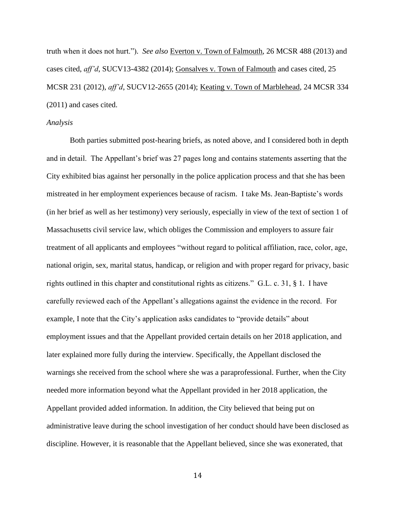truth when it does not hurt."). *See also* Everton v. Town of Falmouth, 26 MCSR 488 (2013) and cases cited, *aff'd*, SUCV13-4382 (2014); Gonsalves v. Town of Falmouth and cases cited, 25 MCSR 231 (2012), *aff'd*, SUCV12-2655 (2014); Keating v. Town of Marblehead, 24 MCSR 334 (2011) and cases cited.

#### *Analysis*

Both parties submitted post-hearing briefs, as noted above, and I considered both in depth and in detail. The Appellant's brief was 27 pages long and contains statements asserting that the City exhibited bias against her personally in the police application process and that she has been mistreated in her employment experiences because of racism. I take Ms. Jean-Baptiste's words (in her brief as well as her testimony) very seriously, especially in view of the text of section 1 of Massachusetts civil service law, which obliges the Commission and employers to assure fair treatment of all applicants and employees "without regard to political affiliation, race, color, age, national origin, sex, marital status, handicap, or religion and with proper regard for privacy, basic rights outlined in this chapter and constitutional rights as citizens." G.L. c. 31, § 1. I have carefully reviewed each of the Appellant's allegations against the evidence in the record. For example, I note that the City's application asks candidates to "provide details" about employment issues and that the Appellant provided certain details on her 2018 application, and later explained more fully during the interview. Specifically, the Appellant disclosed the warnings she received from the school where she was a paraprofessional. Further, when the City needed more information beyond what the Appellant provided in her 2018 application, the Appellant provided added information. In addition, the City believed that being put on administrative leave during the school investigation of her conduct should have been disclosed as discipline. However, it is reasonable that the Appellant believed, since she was exonerated, that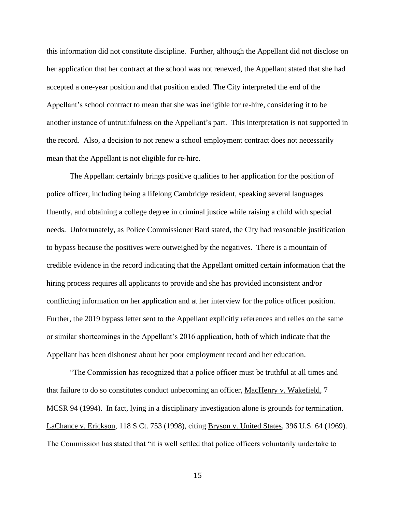this information did not constitute discipline. Further, although the Appellant did not disclose on her application that her contract at the school was not renewed, the Appellant stated that she had accepted a one-year position and that position ended. The City interpreted the end of the Appellant's school contract to mean that she was ineligible for re-hire, considering it to be another instance of untruthfulness on the Appellant's part. This interpretation is not supported in the record. Also, a decision to not renew a school employment contract does not necessarily mean that the Appellant is not eligible for re-hire.

The Appellant certainly brings positive qualities to her application for the position of police officer, including being a lifelong Cambridge resident, speaking several languages fluently, and obtaining a college degree in criminal justice while raising a child with special needs. Unfortunately, as Police Commissioner Bard stated, the City had reasonable justification to bypass because the positives were outweighed by the negatives. There is a mountain of credible evidence in the record indicating that the Appellant omitted certain information that the hiring process requires all applicants to provide and she has provided inconsistent and/or conflicting information on her application and at her interview for the police officer position. Further, the 2019 bypass letter sent to the Appellant explicitly references and relies on the same or similar shortcomings in the Appellant's 2016 application, both of which indicate that the Appellant has been dishonest about her poor employment record and her education.

"The Commission has recognized that a police officer must be truthful at all times and that failure to do so constitutes conduct unbecoming an officer, MacHenry v. Wakefield, 7 MCSR 94 (1994). In fact, lying in a disciplinary investigation alone is grounds for termination. LaChance v. Erickson, 118 S.Ct. 753 (1998), citing Bryson v. United States, 396 U.S. 64 (1969). The Commission has stated that "it is well settled that police officers voluntarily undertake to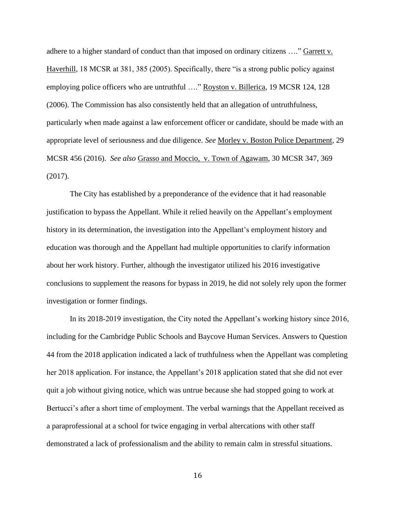adhere to a higher standard of conduct than that imposed on ordinary citizens ...." Garrett v. Haverhill, 18 MCSR at 381, 385 (2005). Specifically, there "is a strong public policy against employing police officers who are untruthful …." Royston v. Billerica, 19 MCSR 124, 128 (2006). The Commission has also consistently held that an allegation of untruthfulness, particularly when made against a law enforcement officer or candidate, should be made with an appropriate level of seriousness and due diligence. *See* Morley v. Boston Police Department, 29 MCSR 456 (2016). *See also* Grasso and Moccio, v. Town of Agawam, 30 MCSR 347, 369 (2017).

The City has established by a preponderance of the evidence that it had reasonable justification to bypass the Appellant. While it relied heavily on the Appellant's employment history in its determination, the investigation into the Appellant's employment history and education was thorough and the Appellant had multiple opportunities to clarify information about her work history. Further, although the investigator utilized his 2016 investigative conclusions to supplement the reasons for bypass in 2019, he did not solely rely upon the former investigation or former findings.

In its 2018-2019 investigation, the City noted the Appellant's working history since 2016, including for the Cambridge Public Schools and Baycove Human Services. Answers to Question 44 from the 2018 application indicated a lack of truthfulness when the Appellant was completing her 2018 application. For instance, the Appellant's 2018 application stated that she did not ever quit a job without giving notice, which was untrue because she had stopped going to work at Bertucci's after a short time of employment. The verbal warnings that the Appellant received as a paraprofessional at a school for twice engaging in verbal altercations with other staff demonstrated a lack of professionalism and the ability to remain calm in stressful situations.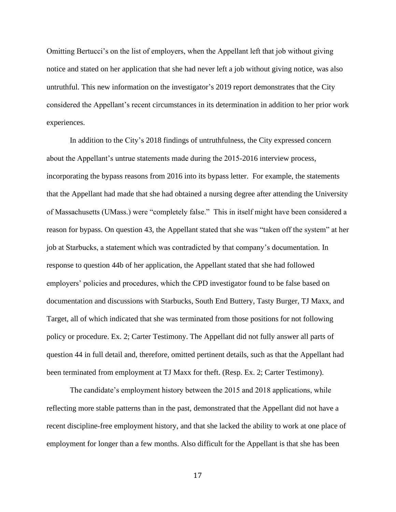Omitting Bertucci's on the list of employers, when the Appellant left that job without giving notice and stated on her application that she had never left a job without giving notice, was also untruthful. This new information on the investigator's 2019 report demonstrates that the City considered the Appellant's recent circumstances in its determination in addition to her prior work experiences.

In addition to the City's 2018 findings of untruthfulness, the City expressed concern about the Appellant's untrue statements made during the 2015-2016 interview process, incorporating the bypass reasons from 2016 into its bypass letter. For example, the statements that the Appellant had made that she had obtained a nursing degree after attending the University of Massachusetts (UMass.) were "completely false." This in itself might have been considered a reason for bypass. On question 43, the Appellant stated that she was "taken off the system" at her job at Starbucks, a statement which was contradicted by that company's documentation. In response to question 44b of her application, the Appellant stated that she had followed employers' policies and procedures, which the CPD investigator found to be false based on documentation and discussions with Starbucks, South End Buttery, Tasty Burger, TJ Maxx, and Target, all of which indicated that she was terminated from those positions for not following policy or procedure. Ex. 2; Carter Testimony. The Appellant did not fully answer all parts of question 44 in full detail and, therefore, omitted pertinent details, such as that the Appellant had been terminated from employment at TJ Maxx for theft. (Resp. Ex. 2; Carter Testimony).

The candidate's employment history between the 2015 and 2018 applications, while reflecting more stable patterns than in the past, demonstrated that the Appellant did not have a recent discipline-free employment history, and that she lacked the ability to work at one place of employment for longer than a few months. Also difficult for the Appellant is that she has been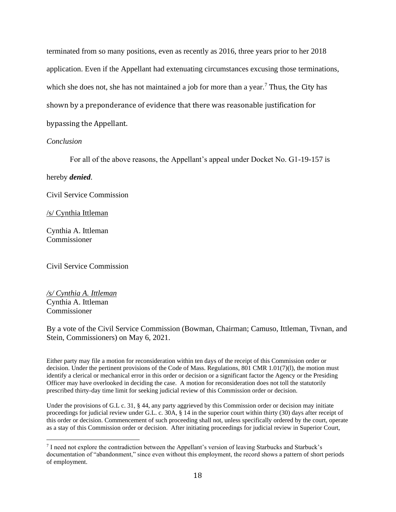terminated from so many positions, even as recently as 2016, three years prior to her 2018 application. Even if the Appellant had extenuating circumstances excusing those terminations, which she does not, she has not maintained a job for more than a year.<sup>7</sup> Thus, the City has shown by a preponderance of evidence that there was reasonable justification for bypassing the Appellant.

#### *Conclusion*

For all of the above reasons, the Appellant's appeal under Docket No. G1-19-157 is

hereby *denied*.

Civil Service Commission

/s/ Cynthia Ittleman

Cynthia A. Ittleman Commissioner

Civil Service Commission

*/s/ Cynthia A. Ittleman* Cynthia A. Ittleman Commissioner

By a vote of the Civil Service Commission (Bowman, Chairman; Camuso, Ittleman, Tivnan, and Stein, Commissioners) on May 6, 2021.

Either party may file a motion for reconsideration within ten days of the receipt of this Commission order or decision. Under the pertinent provisions of the Code of Mass. Regulations, 801 CMR 1.01(7)(l), the motion must identify a clerical or mechanical error in this order or decision or a significant factor the Agency or the Presiding Officer may have overlooked in deciding the case. A motion for reconsideration does not toll the statutorily prescribed thirty-day time limit for seeking judicial review of this Commission order or decision.

Under the provisions of G.L c. 31, § 44, any party aggrieved by this Commission order or decision may initiate proceedings for judicial review under G.L. c. 30A, § 14 in the superior court within thirty (30) days after receipt of this order or decision. Commencement of such proceeding shall not, unless specifically ordered by the court, operate as a stay of this Commission order or decision. After initiating proceedings for judicial review in Superior Court,

<sup>&</sup>lt;sup>7</sup> I need not explore the contradiction between the Appellant's version of leaving Starbucks and Starbuck's documentation of "abandonment," since even without this employment, the record shows a pattern of short periods of employment.